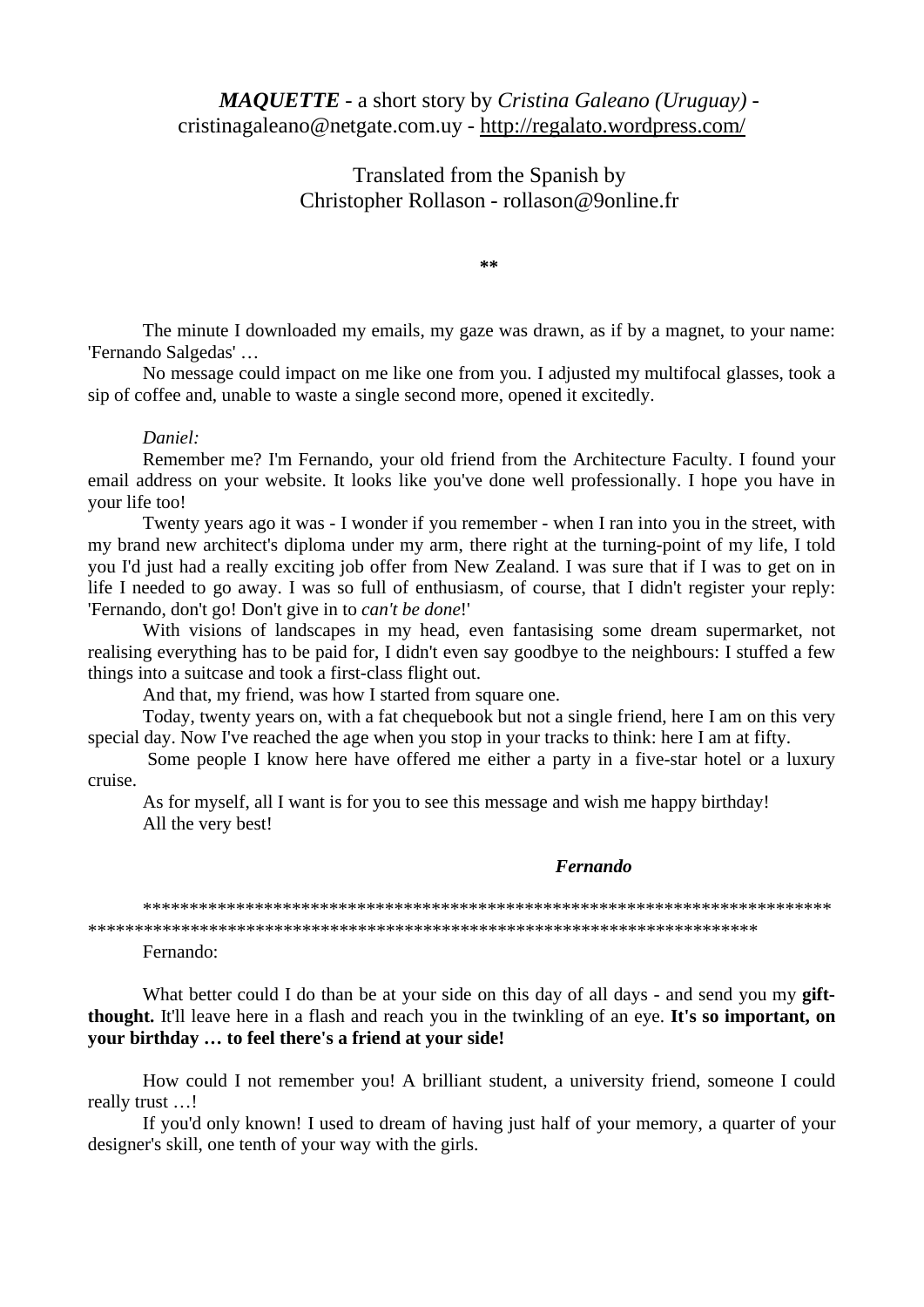## *MAQUETTE* - a short story by *Cristina Galeano (Uruguay)* cristinagaleano@netgate.com.uy - http://regalato.wordpress.com/

Translated from the Spanish by Christopher Rollason - rollason@9online.fr

**\*\***

The minute I downloaded my emails, my gaze was drawn, as if by a magnet, to your name: 'Fernando Salgedas' …

No message could impact on me like one from you. I adjusted my multifocal glasses, took a sip of coffee and, unable to waste a single second more, opened it excitedly.

## *Daniel:*

Remember me? I'm Fernando, your old friend from the Architecture Faculty. I found your email address on your website. It looks like you've done well professionally. I hope you have in your life too!

Twenty years ago it was - I wonder if you remember - when I ran into you in the street, with my brand new architect's diploma under my arm, there right at the turning-point of my life, I told you I'd just had a really exciting job offer from New Zealand. I was sure that if I was to get on in life I needed to go away. I was so full of enthusiasm, of course, that I didn't register your reply: 'Fernando, don't go! Don't give in to *can't be done*!'

With visions of landscapes in my head, even fantasising some dream supermarket, not realising everything has to be paid for, I didn't even say goodbye to the neighbours: I stuffed a few things into a suitcase and took a first-class flight out.

And that, my friend, was how I started from square one.

Today, twenty years on, with a fat chequebook but not a single friend, here I am on this very special day. Now I've reached the age when you stop in your tracks to think: here I am at fifty.

Some people I know here have offered me either a party in a five-star hotel or a luxury cruise.

As for myself, all I want is for you to see this message and wish me happy birthday! All the very best!

## *Fernando*

\*\*\*\*\*\*\*\*\*\*\*\*\*\*\*\*\*\*\*\*\*\*\*\*\*\*\*\*\*\*\*\*\*\*\*\*\*\*\*\*\*\*\*\*\*\*\*\*\*\*\*\*\*\*\*\*\*\*\*\*\*\*\*\*\*\*\*\*\*\*\*\*\*\* \*\*\*\*\*\*\*\*\*\*\*\*\*\*\*\*\*\*\*\*\*\*\*\*\*\*\*\*\*\*\*\*\*\*\*\*\*\*\*\*\*\*\*\*\*\*\*\*\*\*\*\*\*\*\*\*\*\*\*\*\*\*\*\*\*\*\*\*\*\*\*\*

Fernando:

What better could I do than be at your side on this day of all days - and send you my **giftthought.** It'll leave here in a flash and reach you in the twinkling of an eye. **It's so important, on your birthday … to feel there's a friend at your side!**

How could I not remember you! A brilliant student, a university friend, someone I could really trust …!

If you'd only known! I used to dream of having just half of your memory, a quarter of your designer's skill, one tenth of your way with the girls.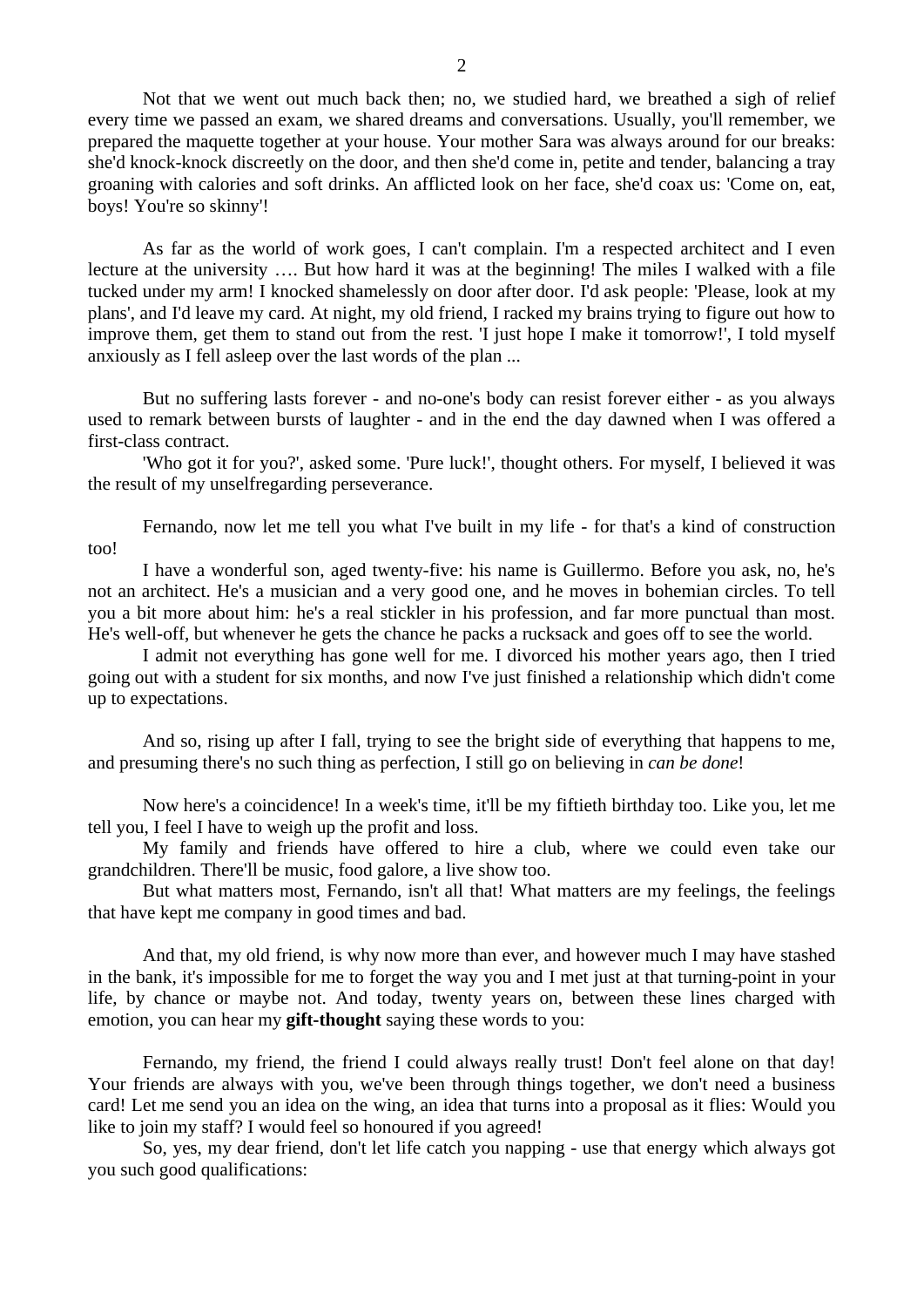Not that we went out much back then; no, we studied hard, we breathed a sigh of relief every time we passed an exam, we shared dreams and conversations. Usually, you'll remember, we prepared the maquette together at your house. Your mother Sara was always around for our breaks: she'd knock-knock discreetly on the door, and then she'd come in, petite and tender, balancing a tray groaning with calories and soft drinks. An afflicted look on her face, she'd coax us: 'Come on, eat, boys! You're so skinny'!

As far as the world of work goes, I can't complain. I'm a respected architect and I even lecture at the university …. But how hard it was at the beginning! The miles I walked with a file tucked under my arm! I knocked shamelessly on door after door. I'd ask people: 'Please, look at my plans', and I'd leave my card. At night, my old friend, I racked my brains trying to figure out how to improve them, get them to stand out from the rest. 'I just hope I make it tomorrow!', I told myself anxiously as I fell asleep over the last words of the plan ...

But no suffering lasts forever - and no-one's body can resist forever either - as you always used to remark between bursts of laughter - and in the end the day dawned when I was offered a first-class contract.

'Who got it for you?', asked some. 'Pure luck!', thought others. For myself, I believed it was the result of my unselfregarding perseverance.

Fernando, now let me tell you what I've built in my life - for that's a kind of construction too!

I have a wonderful son, aged twenty-five: his name is Guillermo. Before you ask, no, he's not an architect. He's a musician and a very good one, and he moves in bohemian circles. To tell you a bit more about him: he's a real stickler in his profession, and far more punctual than most. He's well-off, but whenever he gets the chance he packs a rucksack and goes off to see the world.

I admit not everything has gone well for me. I divorced his mother years ago, then I tried going out with a student for six months, and now I've just finished a relationship which didn't come up to expectations.

And so, rising up after I fall, trying to see the bright side of everything that happens to me, and presuming there's no such thing as perfection, I still go on believing in *can be done*!

Now here's a coincidence! In a week's time, it'll be my fiftieth birthday too. Like you, let me tell you, I feel I have to weigh up the profit and loss.

My family and friends have offered to hire a club, where we could even take our grandchildren. There'll be music, food galore, a live show too.

But what matters most, Fernando, isn't all that! What matters are my feelings, the feelings that have kept me company in good times and bad.

And that, my old friend, is why now more than ever, and however much I may have stashed in the bank, it's impossible for me to forget the way you and I met just at that turning-point in your life, by chance or maybe not. And today, twenty years on, between these lines charged with emotion, you can hear my **gift-thought** saying these words to you:

Fernando, my friend, the friend I could always really trust! Don't feel alone on that day! Your friends are always with you, we've been through things together, we don't need a business card! Let me send you an idea on the wing, an idea that turns into a proposal as it flies: Would you like to join my staff? I would feel so honoured if you agreed!

So, yes, my dear friend, don't let life catch you napping - use that energy which always got you such good qualifications: